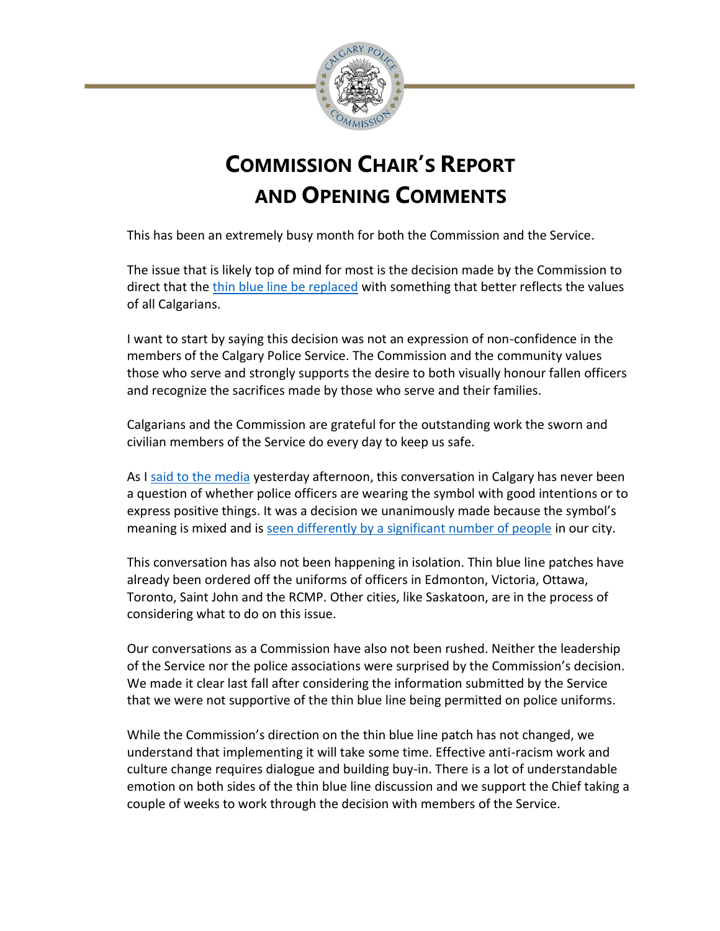

## **COMMISSION CHAIR'S REPORT AND OPENING COMMENTS**

This has been an extremely busy month for both the Commission and the Service.

The issue that is likely top of mind for most is the decision made by the Commission to direct that the [thin blue line be replaced](https://newsroom.calgary.ca/police-directed-to-replace-the-thin-blue-line-patch/) with something that better reflects the values of all Calgarians.

I want to start by saying this decision was not an expression of non-confidence in the members of the Calgary Police Service. The Commission and the community values those who serve and strongly supports the desire to both visually honour fallen officers and recognize the sacrifices made by those who serve and their families.

Calgarians and the Commission are grateful for the outstanding work the sworn and civilian members of the Service do every day to keep us safe.

As I [said to the media](https://newsroom.calgary.ca/commission-responds-to-thin-blue-line-enforcement-plan/) yesterday afternoon, this conversation in Calgary has never been a question of whether police officers are wearing the symbol with good intentions or to express positive things. It was a decision we unanimously made because the symbol's meaning is mixed and is [seen differently by a significant number of people](https://newsroom.calgary.ca/commission-remains-committed-to-working-with-officers-on-thin-blue-line/) in our city.

This conversation has also not been happening in isolation. Thin blue line patches have already been ordered off the uniforms of officers in Edmonton, Victoria, Ottawa, Toronto, Saint John and the RCMP. Other cities, like Saskatoon, are in the process of considering what to do on this issue.

Our conversations as a Commission have also not been rushed. Neither the leadership of the Service nor the police associations were surprised by the Commission's decision. We made it clear last fall after considering the information submitted by the Service that we were not supportive of the thin blue line being permitted on police uniforms.

While the Commission's direction on the thin blue line patch has not changed, we understand that implementing it will take some time. Effective anti-racism work and culture change requires dialogue and building buy-in. There is a lot of understandable emotion on both sides of the thin blue line discussion and we support the Chief taking a couple of weeks to work through the decision with members of the Service.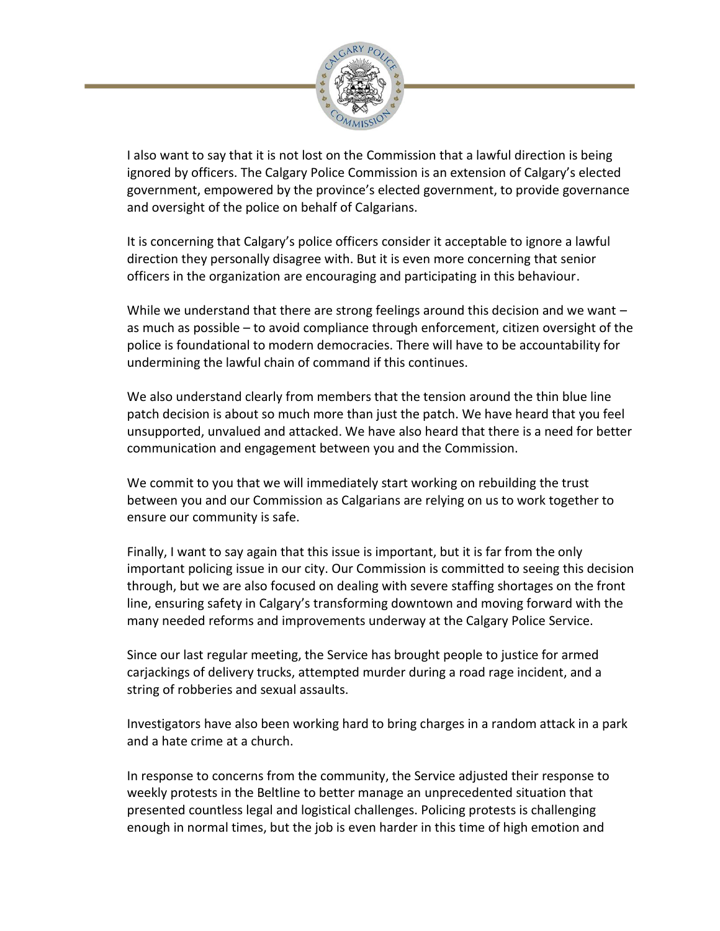

I also want to say that it is not lost on the Commission that a lawful direction is being ignored by officers. The Calgary Police Commission is an extension of Calgary's elected government, empowered by the province's elected government, to provide governance and oversight of the police on behalf of Calgarians.

It is concerning that Calgary's police officers consider it acceptable to ignore a lawful direction they personally disagree with. But it is even more concerning that senior officers in the organization are encouraging and participating in this behaviour.

While we understand that there are strong feelings around this decision and we want as much as possible – to avoid compliance through enforcement, citizen oversight of the police is foundational to modern democracies. There will have to be accountability for undermining the lawful chain of command if this continues.

We also understand clearly from members that the tension around the thin blue line patch decision is about so much more than just the patch. We have heard that you feel unsupported, unvalued and attacked. We have also heard that there is a need for better communication and engagement between you and the Commission.

We commit to you that we will immediately start working on rebuilding the trust between you and our Commission as Calgarians are relying on us to work together to ensure our community is safe.

Finally, I want to say again that this issue is important, but it is far from the only important policing issue in our city. Our Commission is committed to seeing this decision through, but we are also focused on dealing with severe staffing shortages on the front line, ensuring safety in Calgary's transforming downtown and moving forward with the many needed reforms and improvements underway at the Calgary Police Service.

Since our last regular meeting, the Service has brought people to justice for armed carjackings of delivery trucks, attempted murder during a road rage incident, and a string of robberies and sexual assaults.

Investigators have also been working hard to bring charges in a random attack in a park and a hate crime at a church.

In response to concerns from the community, the Service adjusted their response to weekly protests in the Beltline to better manage an unprecedented situation that presented countless legal and logistical challenges. Policing protests is challenging enough in normal times, but the job is even harder in this time of high emotion and